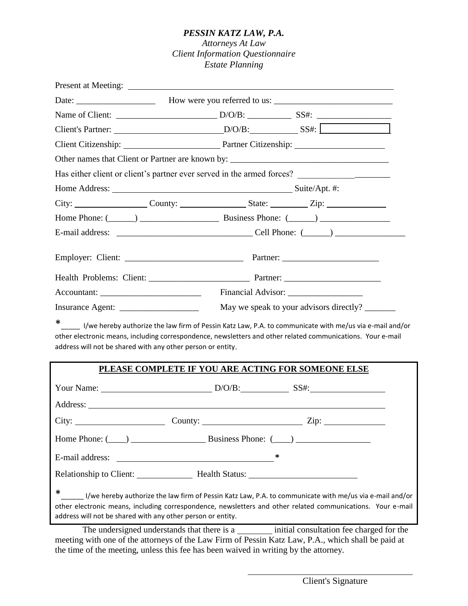#### *PESSIN KATZ LAW, P.A.*

#### *Attorneys At Law Client Information Questionnaire Estate Planning*

|                                                             |  | Client Citizenship: Partner Citizenship: 2012                                                                                                                                                                                 |
|-------------------------------------------------------------|--|-------------------------------------------------------------------------------------------------------------------------------------------------------------------------------------------------------------------------------|
|                                                             |  | Other names that Client or Partner are known by: ________________________________                                                                                                                                             |
|                                                             |  |                                                                                                                                                                                                                               |
|                                                             |  |                                                                                                                                                                                                                               |
|                                                             |  |                                                                                                                                                                                                                               |
|                                                             |  |                                                                                                                                                                                                                               |
|                                                             |  |                                                                                                                                                                                                                               |
|                                                             |  |                                                                                                                                                                                                                               |
|                                                             |  |                                                                                                                                                                                                                               |
|                                                             |  |                                                                                                                                                                                                                               |
|                                                             |  |                                                                                                                                                                                                                               |
| address will not be shared with any other person or entity. |  | * ____ I/we hereby authorize the law firm of Pessin Katz Law, P.A. to communicate with me/us via e-mail and/or<br>other electronic means, including correspondence, newsletters and other related communications. Your e-mail |
|                                                             |  | PLEASE COMPLETE IF YOU ARE ACTING FOR SOMEONE ELSE                                                                                                                                                                            |
|                                                             |  |                                                                                                                                                                                                                               |
|                                                             |  |                                                                                                                                                                                                                               |
|                                                             |  | City: $\begin{bmatrix} \text{City:} \\ \text{Cavity:} \end{bmatrix}$ County: $\begin{bmatrix} \text{Cavity:} \\ \text{Cavity:} \end{bmatrix}$ Zip:                                                                            |
|                                                             |  | Home Phone: $(\_\_)$ $\_\_$ Business Phone: $(\_\_)$                                                                                                                                                                          |

E-mail address: **\*** Relationship to Client: Health Status:

\*\_\_\_\_\_\_ I/we hereby authorize the law firm of Pessin Katz Law, P.A. to communicate with me/us via e-mail and/or other electronic means, including correspondence, newsletters and other related communications. Your e-mail address will not be shared with any other person or entity.

The undersigned understands that there is a initial consultation fee charged for the meeting with one of the attorneys of the Law Firm of Pessin Katz Law, P.A., which shall be paid at the time of the meeting, unless this fee has been waived in writing by the attorney.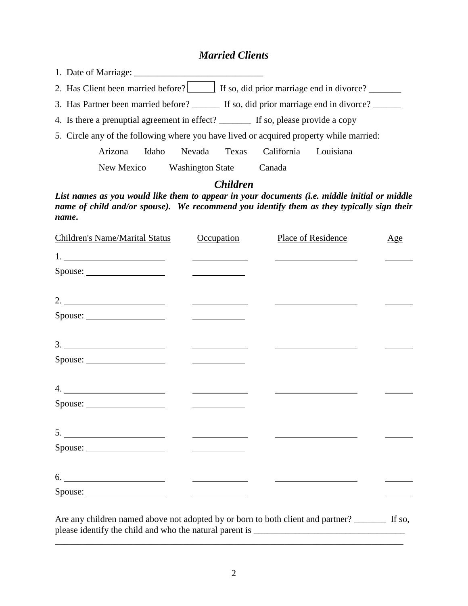#### *Married Clients*

1. Date of Marriage: \_\_\_\_\_\_\_\_\_\_\_\_\_\_\_\_\_\_\_\_\_\_\_\_\_\_\_\_

2. Has Client been married before? If so, did prior marriage end in divorce?

3. Has Partner been married before? \_\_\_\_\_\_ If so, did prior marriage end in divorce? \_\_\_\_\_

4. Is there a prenuptial agreement in effect?  $\qquad \qquad$  If so, please provide a copy

5. Circle any of the following where you have lived or acquired property while married:

 Arizona Idaho Nevada Texas California Louisiana New Mexico Washington State Canada

*Children*

*List names as you would like them to appear in your documents (i.e. middle initial or middle name of child and/or spouse*). We recommend you identify them as they typically sign their *name***.**

| <b>Children's Name/Marital Status</b>                                                                                                                     | Occupation                                        | Place of Residence                                                                                                                                                                                                                                                                            | Age |
|-----------------------------------------------------------------------------------------------------------------------------------------------------------|---------------------------------------------------|-----------------------------------------------------------------------------------------------------------------------------------------------------------------------------------------------------------------------------------------------------------------------------------------------|-----|
|                                                                                                                                                           | <u>and the state of the state of the state</u>    |                                                                                                                                                                                                                                                                                               |     |
|                                                                                                                                                           | <u> The Communication of the Communication</u>    |                                                                                                                                                                                                                                                                                               |     |
|                                                                                                                                                           |                                                   |                                                                                                                                                                                                                                                                                               |     |
|                                                                                                                                                           | <u>and the state of the state of the state</u>    |                                                                                                                                                                                                                                                                                               |     |
|                                                                                                                                                           | <u> The Communication of the Communication</u>    |                                                                                                                                                                                                                                                                                               |     |
|                                                                                                                                                           | <u> Louis Communication and</u>                   |                                                                                                                                                                                                                                                                                               |     |
| 4.                                                                                                                                                        | <u> Listen van die Stad van die Stad van die</u>  |                                                                                                                                                                                                                                                                                               |     |
|                                                                                                                                                           |                                                   |                                                                                                                                                                                                                                                                                               |     |
|                                                                                                                                                           | <u> 1980 - Andrea Brand, amerikansk politik (</u> |                                                                                                                                                                                                                                                                                               |     |
|                                                                                                                                                           | <u> The Communication of the Communication</u>    |                                                                                                                                                                                                                                                                                               |     |
| 6.                                                                                                                                                        |                                                   | $\frac{1}{2}$ and $\frac{1}{2}$ and $\frac{1}{2}$ and $\frac{1}{2}$ and $\frac{1}{2}$ and $\frac{1}{2}$ and $\frac{1}{2}$ and $\frac{1}{2}$ and $\frac{1}{2}$ and $\frac{1}{2}$ and $\frac{1}{2}$ and $\frac{1}{2}$ and $\frac{1}{2}$ and $\frac{1}{2}$ and $\frac{1}{2}$ and $\frac{1}{2}$ a |     |
|                                                                                                                                                           | <u> The Common State Common</u>                   |                                                                                                                                                                                                                                                                                               |     |
| Are any children named above not adopted by or born to both client and partner? _______ If so,<br>please identify the child and who the natural parent is |                                                   |                                                                                                                                                                                                                                                                                               |     |

\_\_\_\_\_\_\_\_\_\_\_\_\_\_\_\_\_\_\_\_\_\_\_\_\_\_\_\_\_\_\_\_\_\_\_\_\_\_\_\_\_\_\_\_\_\_\_\_\_\_\_\_\_\_\_\_\_\_\_\_\_\_\_\_\_\_\_\_\_\_\_\_\_\_\_\_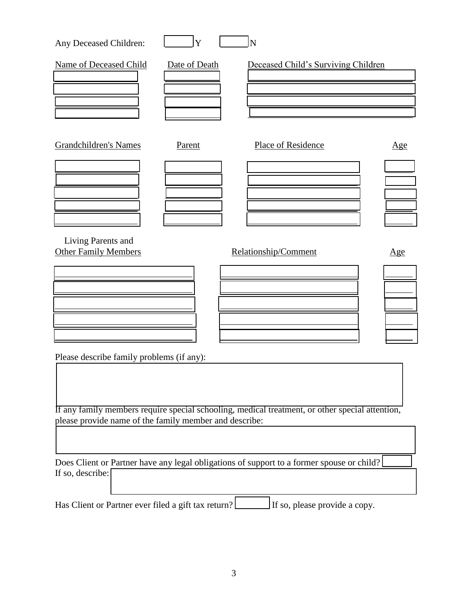| Any Deceased Children:        | Y             | N                                   |     |
|-------------------------------|---------------|-------------------------------------|-----|
| <b>Name of Deceased Child</b> | Date of Death | Deceased Child's Surviving Children |     |
|                               |               |                                     |     |
|                               |               |                                     |     |
| <b>Grandchildren's Names</b>  | Parent        | Place of Residence                  | Age |
|                               |               |                                     |     |
|                               |               |                                     |     |
| Living Parents and            |               |                                     |     |
| <b>Other Family Members</b>   |               | Relationship/Comment                | Age |
|                               |               |                                     |     |
|                               |               |                                     |     |
|                               |               |                                     |     |

Please describe family problems (if any):

If any family members require special schooling, medical treatment, or other special attention, please provide name of the family member and describe:

Does Client or Partner have any legal obligations of support to a former spouse or child? \_\_\_\_\_\_ If so, describe:

Has Client or Partner ever filed a gift tax return? \_\_\_\_\_\_\_\_ If so, please provide a copy.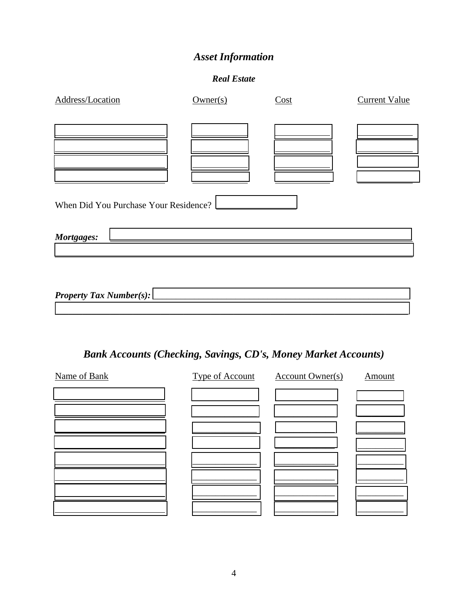# *Asset Information*

#### *Real Estate*

| Address/Location                      | Owner(s) | Cost | <b>Current Value</b> |
|---------------------------------------|----------|------|----------------------|
|                                       |          |      |                      |
|                                       |          |      |                      |
|                                       |          |      |                      |
|                                       |          |      |                      |
|                                       |          |      |                      |
|                                       |          |      |                      |
| When Did You Purchase Your Residence? |          |      |                      |
| Mortgages:                            |          |      |                      |
|                                       |          |      |                      |
|                                       |          |      |                      |
|                                       |          |      |                      |
| <b>Property Tax Number(s):</b>        |          |      |                      |

# *Bank Accounts (Checking, Savings, CD's, Money Market Accounts)*

\_\_\_\_\_\_\_\_\_\_\_\_\_\_\_\_\_\_\_\_\_\_\_\_\_\_\_\_\_\_\_\_\_\_\_\_\_\_\_\_\_\_\_\_\_\_\_\_\_\_\_\_\_\_\_\_\_\_\_\_\_\_\_\_\_\_\_\_\_\_\_\_\_\_\_\_\_

| Name of Bank | Type of Account | <b>Account Owner(s)</b> | Amount |
|--------------|-----------------|-------------------------|--------|
|              |                 |                         |        |
|              |                 |                         |        |
|              |                 |                         |        |
|              |                 |                         |        |
|              |                 |                         |        |
|              |                 |                         |        |
|              |                 |                         |        |
|              |                 |                         |        |
|              |                 |                         |        |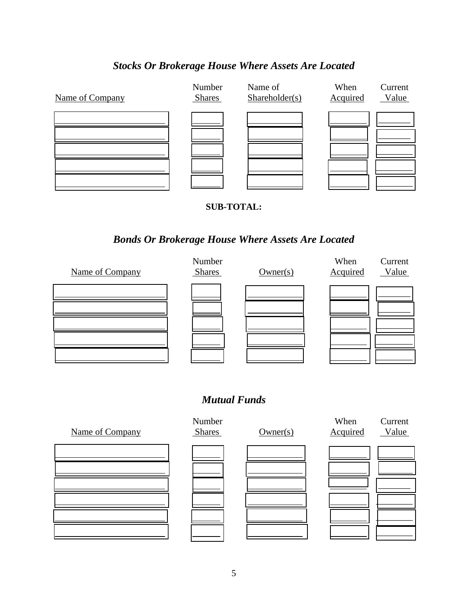## *Stocks Or Brokerage House Where Assets Are Located*



#### **SUB-TOTAL:**

### *Bonds Or Brokerage House Where Assets Are Located*



### *Mutual Funds*

![](_page_4_Figure_6.jpeg)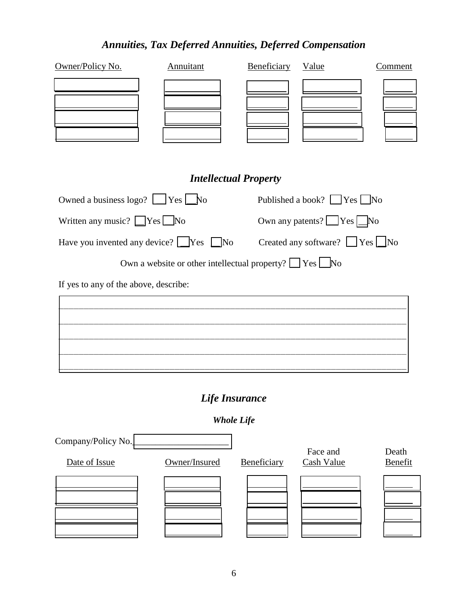# *Annuities, Tax Deferred Annuities, Deferred Compensation*

| Owner/Policy No.                                   | Annuitant                                                          | Beneficiary | Value                                              | Comment |
|----------------------------------------------------|--------------------------------------------------------------------|-------------|----------------------------------------------------|---------|
|                                                    |                                                                    |             |                                                    |         |
|                                                    | <b>Intellectual Property</b>                                       |             |                                                    |         |
| Owned a business $\log_2$ ? $\log_2$ Yes $\log_2$  |                                                                    |             | Published a book? $\Box$ Yes $\Box$ No             |         |
| Written any music? $\Box$ Yes $\Box$ No            |                                                                    |             | Own any patents? $\sqrt{\frac{1}{1-\text{Ne}}}$ No |         |
| Have you invented any device? $\Box$ Yes $\Box$ No |                                                                    |             | Created any software? $\Box$ Yes $\Box$ No         |         |
|                                                    | Own a website or other intellectual property? $\Box$ Yes $\Box$ No |             |                                                    |         |
| If yes to any of the above, describe:              |                                                                    |             |                                                    |         |
|                                                    |                                                                    |             |                                                    |         |
|                                                    |                                                                    |             |                                                    |         |
|                                                    |                                                                    |             |                                                    |         |
|                                                    |                                                                    |             |                                                    |         |
|                                                    | Life Insurance                                                     |             |                                                    |         |
|                                                    | <b>Whole Life</b>                                                  |             |                                                    |         |
| Company/Policy No.                                 |                                                                    |             | Face and                                           | Death   |

Date of Issue **Owner/Insured** Beneficiary Cash Value Benefit

 $\overline{a}$ 

 $\overline{a}$ 

l

 $\overline{a}$ 

| ۰ |  |
|---|--|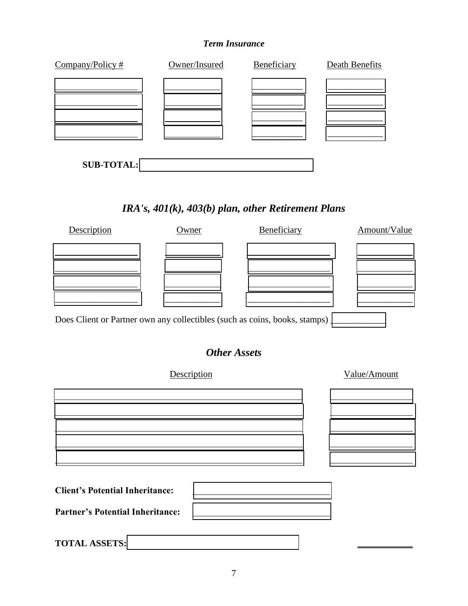#### *Term Insurance*

| Company/Policy#   | Owner/Insured | Beneficiary | <b>Death Benefits</b> |
|-------------------|---------------|-------------|-----------------------|
|                   |               |             |                       |
|                   |               |             |                       |
|                   |               |             |                       |
|                   |               |             |                       |
|                   |               |             |                       |
| <b>SUB-TOTAL:</b> |               |             |                       |

# *IRA's, 401(k), 403(b) plan, other Retirement Plans*

![](_page_6_Figure_3.jpeg)

# *Other Assets*

| Description                             | Value/Amount |
|-----------------------------------------|--------------|
|                                         |              |
|                                         |              |
|                                         |              |
|                                         |              |
|                                         |              |
| <b>Client's Potential Inheritance:</b>  |              |
| <b>Partner's Potential Inheritance:</b> |              |
|                                         |              |
| <b>TOTAL ASSETS:</b>                    |              |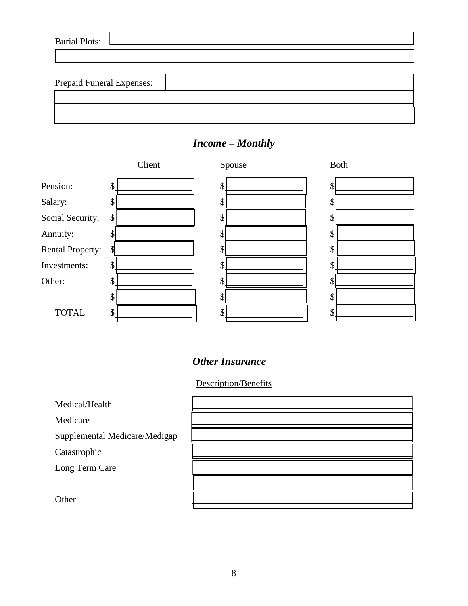| <b>Burial Plots:</b>             |  |
|----------------------------------|--|
|                                  |  |
|                                  |  |
| <b>Prepaid Funeral Expenses:</b> |  |
|                                  |  |
|                                  |  |
|                                  |  |

![](_page_7_Figure_1.jpeg)

## *Income – Monthly*

## *Other Insurance*

Description/Benefits

Medical/Health

Medicare

Supplemental Medicare/Mediga

Catastrophic

Long Term Care

**Other** 

| ap; |  |
|-----|--|
|     |  |
|     |  |
|     |  |
|     |  |